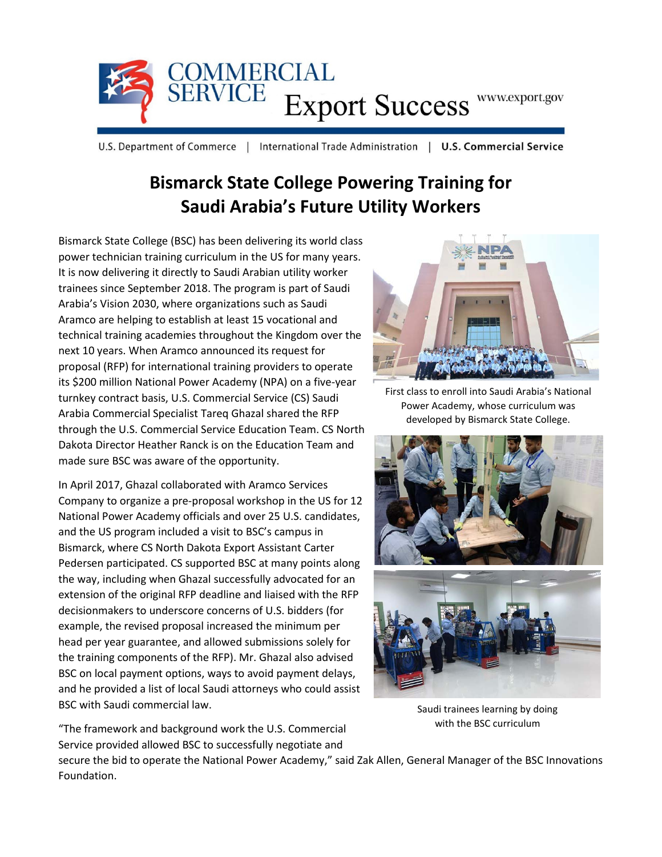

U.S. Department of Commerce | International Trade Administration | U.S. Commercial Service

## **Bismarck State College Powering Training for Saudi Arabia's Future Utility Workers**

Bismarck State College (BSC) has been delivering its world class power technician training curriculum in the US for many years. It is now delivering it directly to Saudi Arabian utility worker trainees since September 2018. The program is part of Saudi Arabia's Vision 2030, where organizations such as Saudi Aramco are helping to establish at least 15 vocational and technical training academies throughout the Kingdom over the next 10 years. When Aramco announced its request for proposal (RFP) for international training providers to operate its \$200 million National Power Academy (NPA) on a five-year turnkey contract basis, U.S. Commercial Service (CS) Saudi Arabia Commercial Specialist Tareq Ghazal shared the RFP through the U.S. Commercial Service Education Team. CS North Dakota Director Heather Ranck is on the Education Team and made sure BSC was aware of the opportunity.

In April 2017, Ghazal collaborated with Aramco Services Company to organize a pre-proposal workshop in the US for 12 National Power Academy officials and over 25 U.S. candidates, and the US program included a visit to BSC's campus in Bismarck, where CS North Dakota Export Assistant Carter Pedersen participated. CS supported BSC at many points along the way, including when Ghazal successfully advocated for an extension of the original RFP deadline and liaised with the RFP decisionmakers to underscore concerns of U.S. bidders (for example, the revised proposal increased the minimum per head per year guarantee, and allowed submissions solely for the training components of the RFP). Mr. Ghazal also advised BSC on local payment options, ways to avoid payment delays, and he provided a list of local Saudi attorneys who could assist BSC with Saudi commercial law.



First class to enroll into Saudi Arabia's National Power Academy, whose curriculum was developed by Bismarck State College.





Saudi trainees learning by doing with the BSC curriculum

"The framework and background work the U.S. Commercial Service provided allowed BSC to successfully negotiate and

secure the bid to operate the National Power Academy," said Zak Allen, General Manager of the BSC Innovations Foundation.